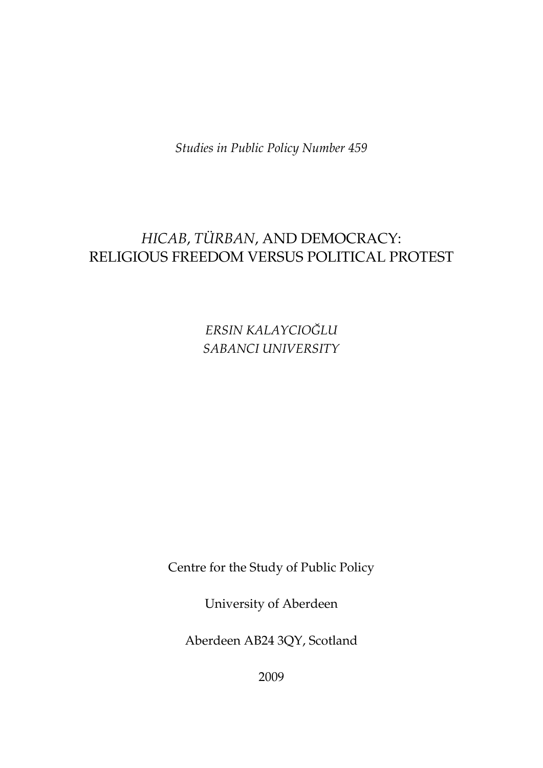*Studies in Public Policy Number 459* 

# *HICAB*, *TÜRBAN*, AND DEMOCRACY: RELIGIOUS FREEDOM VERSUS POLITICAL PROTEST

*ERSIN KALAYCIOĞLU SABANCI UNIVERSITY* 

Centre for the Study of Public Policy

University of Aberdeen

Aberdeen AB24 3QY, Scotland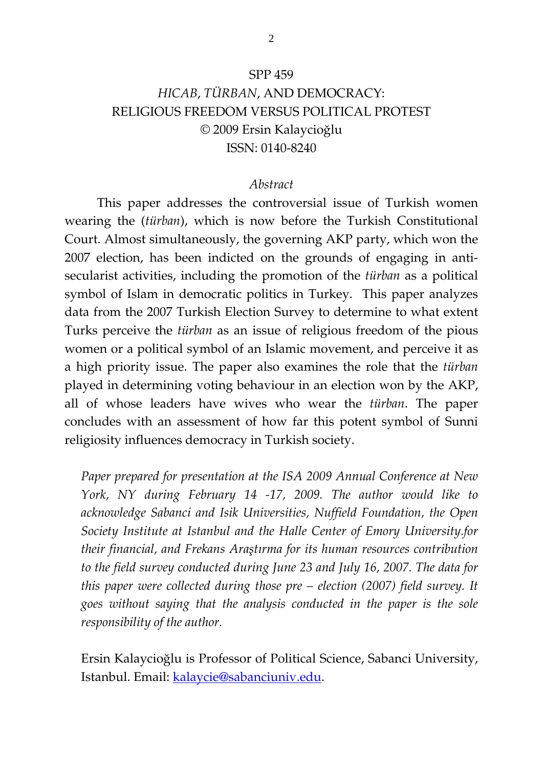#### SPP 459

## *HICAB*, *TÜRBAN*, AND DEMOCRACY: RELIGIOUS FREEDOM VERSUS POLITICAL PROTEST © 2009 Ersin Kalaycioğlu ISSN: 0140-8240

#### *Abstract*

 This paper addresses the controversial issue of Turkish women wearing the (*türban*), which is now before the Turkish Constitutional Court. Almost simultaneously, the governing AKP party, which won the 2007 election, has been indicted on the grounds of engaging in antisecularist activities, including the promotion of the *türban* as a political symbol of Islam in democratic politics in Turkey. This paper analyzes data from the 2007 Turkish Election Survey to determine to what extent Turks perceive the *türban* as an issue of religious freedom of the pious women or a political symbol of an Islamic movement, and perceive it as a high priority issue. The paper also examines the role that the *türban* played in determining voting behaviour in an election won by the AKP, all of whose leaders have wives who wear the *türban*. The paper concludes with an assessment of how far this potent symbol of Sunni religiosity influences democracy in Turkish society.

*Paper prepared for presentation at the ISA 2009 Annual Conference at New York, NY during February 14 -17, 2009. The author would like to acknowledge Sabanci and Isik Universities, Nuffield Foundation, the Open Society Institute at Istanbul and the Halle Center of Emory University.for their financial, and Frekans Araştırma for its human resources contribution to the field survey conducted during June 23 and July 16, 2007. The data for this paper were collected during those pre – election (2007) field survey. It goes without saying that the analysis conducted in the paper is the sole responsibility of the author.* 

Ersin Kalaycioğlu is Professor of Political Science, Sabanci University, Istanbul. Email: [kalaycie@sabanciuniv.edu](mailto:kalaycie@sabanciuniv.edu).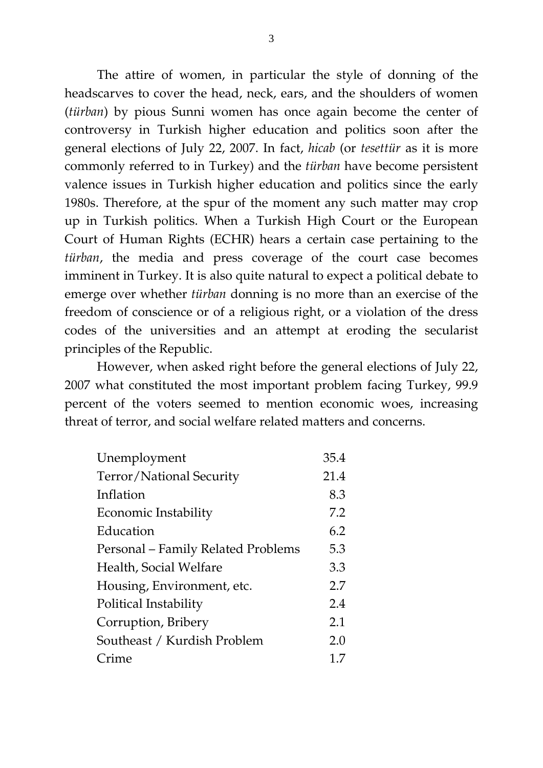The attire of women, in particular the style of donning of the headscarves to cover the head, neck, ears, and the shoulders of women (*türban*) by pious Sunni women has once again become the center of controversy in Turkish higher education and politics soon after the general elections of July 22, 2007. In fact, *hicab* (or *tesettür* as it is more commonly referred to in Turkey) and the *türban* have become persistent valence issues in Turkish higher education and politics since the early 1980s. Therefore, at the spur of the moment any such matter may crop up in Turkish politics. When a Turkish High Court or the European Court of Human Rights (ECHR) hears a certain case pertaining to the *türban*, the media and press coverage of the court case becomes imminent in Turkey. It is also quite natural to expect a political debate to emerge over whether *türban* donning is no more than an exercise of the freedom of conscience or of a religious right, or a violation of the dress codes of the universities and an attempt at eroding the secularist principles of the Republic.

However, when asked right before the general elections of July 22, 2007 what constituted the most important problem facing Turkey, 99.9 percent of the voters seemed to mention economic woes, increasing threat of terror, and social welfare related matters and concerns.

| Unemployment                       | 35.4 |
|------------------------------------|------|
| Terror/National Security           | 21.4 |
| Inflation                          | 8.3  |
| Economic Instability               | 7.2  |
| Education                          | 6.2  |
| Personal - Family Related Problems | 5.3  |
| Health, Social Welfare             | 3.3  |
| Housing, Environment, etc.         | 2.7  |
| Political Instability              | 2.4  |
| Corruption, Bribery                | 2.1  |
| Southeast / Kurdish Problem        | 2.0  |
| Crime                              | 1.7  |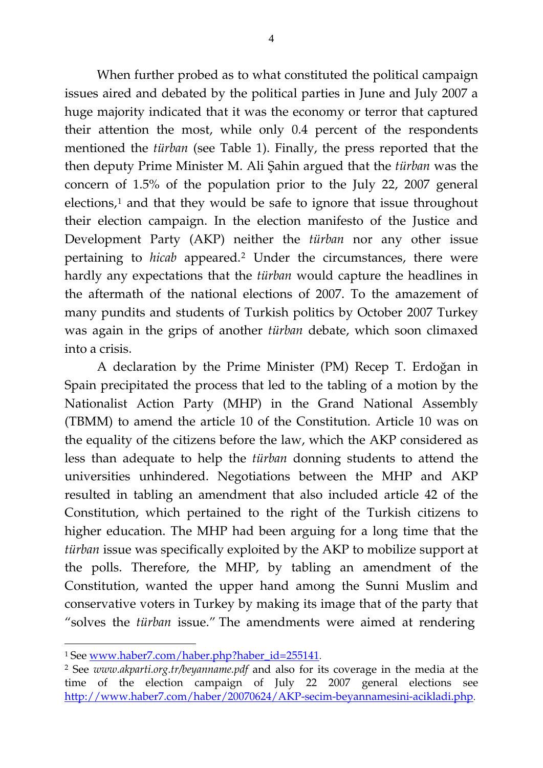When further probed as to what constituted the political campaign issues aired and debated by the political parties in June and July 2007 a huge majority indicated that it was the economy or terror that captured their attention the most, while only 0.4 percent of the respondents mentioned the *türban* (see Table 1). Finally, the press reported that the then deputy Prime Minister M. Ali Şahin argued that the *türban* was the concern of 1.5% of the population prior to the July 22, 2007 general  $e$ lections, $<sup>1</sup>$  and that they would be safe to ignore that issue throughout</sup> their election campaign. In the election manifesto of the Justice and Development Party (AKP) neither the *türban* nor any other issue pertaining to *hicab* appeared.[2](#page-3-1) Under the circumstances, there were hardly any expectations that the *türban* would capture the headlines in the aftermath of the national elections of 2007. To the amazement of many pundits and students of Turkish politics by October 2007 Turkey was again in the grips of another *türban* debate, which soon climaxed into a crisis.

 A declaration by the Prime Minister (PM) Recep T. Erdoğan in Spain precipitated the process that led to the tabling of a motion by the Nationalist Action Party (MHP) in the Grand National Assembly (TBMM) to amend the article 10 of the Constitution. Article 10 was on the equality of the citizens before the law, which the AKP considered as less than adequate to help the *türban* donning students to attend the universities unhindered. Negotiations between the MHP and AKP resulted in tabling an amendment that also included article 42 of the Constitution, which pertained to the right of the Turkish citizens to higher education. The MHP had been arguing for a long time that the *türban* issue was specifically exploited by the AKP to mobilize support at the polls. Therefore, the MHP, by tabling an amendment of the Constitution, wanted the upper hand among the Sunni Muslim and conservative voters in Turkey by making its image that of the party that "solves the *türban* issue." The amendments were aimed at rendering

<span id="page-3-0"></span><sup>1</sup> See [www.haber7.com/haber.php?haber\\_id=255141](http://www.haber7.com/haber.php?haber_id=255141).

<span id="page-3-1"></span><sup>2</sup> See *www.akparti.org.tr/beyanname.pdf* and also for its coverage in the media at the time of the election campaign of July 22 2007 general elections see <http://www.haber7.com/haber/20070624/AKP-secim-beyannamesini-acikladi.php>.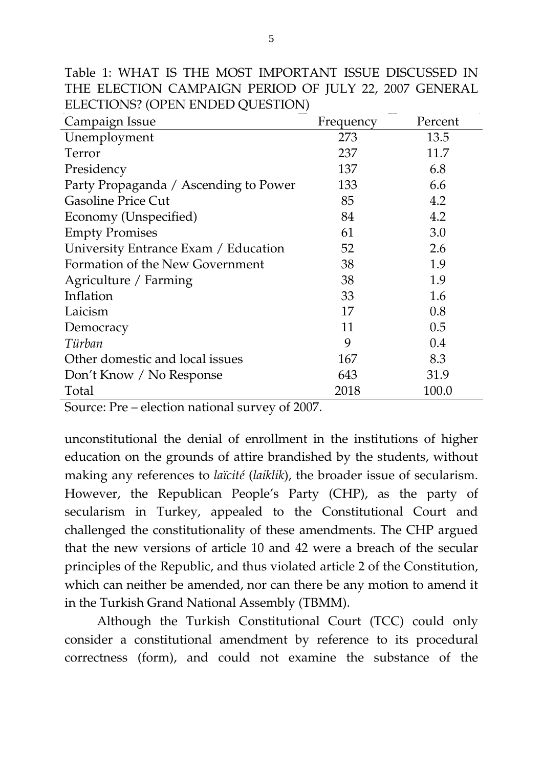| ELECTIONS? (OPEN ENDED QUESTION)      |           |         |
|---------------------------------------|-----------|---------|
| Campaign Issue                        | Frequency | Percent |
| Unemployment                          | 273       | 13.5    |
| Terror                                | 237       | 11.7    |
| Presidency                            | 137       | 6.8     |
| Party Propaganda / Ascending to Power | 133       | 6.6     |
| <b>Gasoline Price Cut</b>             | 85        | 4.2     |
| Economy (Unspecified)                 | 84        | 4.2     |
| <b>Empty Promises</b>                 | 61        | 3.0     |
| University Entrance Exam / Education  | 52        | 2.6     |
| Formation of the New Government       | 38        | 1.9     |
| Agriculture / Farming                 | 38        | 1.9     |
| Inflation                             | 33        | 1.6     |
| Laicism                               | 17        | 0.8     |
| Democracy                             | 11        | 0.5     |
| Türban                                | 9         | 0.4     |
| Other domestic and local issues       | 167       | 8.3     |
| Don't Know / No Response              | 643       | 31.9    |
| Total                                 | 2018      | 100.0   |

Table 1: WHAT IS THE MOST IMPORTANT ISSUE DISCUSSED IN THE ELECTION CAMPAIGN PERIOD OF JULY 22, 2007 GENERAL ELECTIONS? (OPEN ENDED QUESTION)

Source: Pre – election national survey of 2007.

unconstitutional the denial of enrollment in the institutions of higher education on the grounds of attire brandished by the students, without making any references to *laïcité* (*laiklik*), the broader issue of secularism. However, the Republican People's Party (CHP), as the party of secularism in Turkey, appealed to the Constitutional Court and challenged the constitutionality of these amendments. The CHP argued that the new versions of article 10 and 42 were a breach of the secular principles of the Republic, and thus violated article 2 of the Constitution, which can neither be amended, nor can there be any motion to amend it in the Turkish Grand National Assembly (TBMM).

 Although the Turkish Constitutional Court (TCC) could only consider a constitutional amendment by reference to its procedural correctness (form), and could not examine the substance of the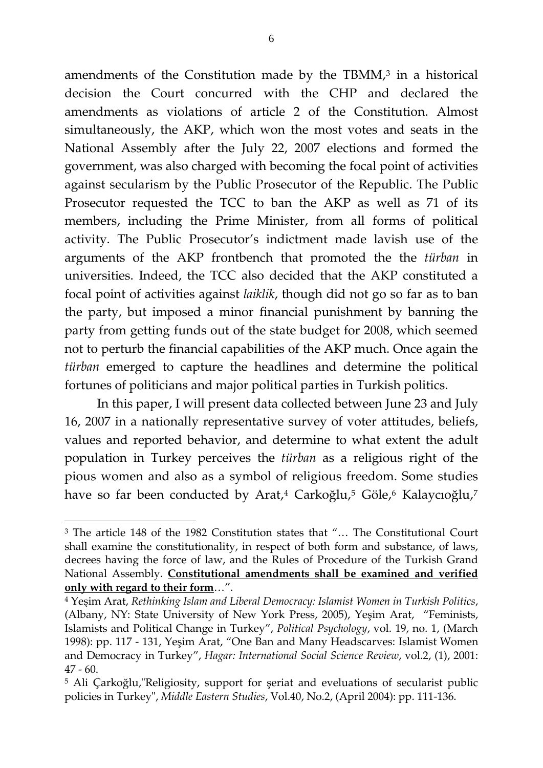amendments of the Constitution made by the TBMM $^3$  $^3$  in a historical decision the Court concurred with the CHP and declared the amendments as violations of article 2 of the Constitution. Almost simultaneously, the AKP, which won the most votes and seats in the National Assembly after the July 22, 2007 elections and formed the government, was also charged with becoming the focal point of activities against secularism by the Public Prosecutor of the Republic. The Public Prosecutor requested the TCC to ban the AKP as well as 71 of its members, including the Prime Minister, from all forms of political activity. The Public Prosecutor's indictment made lavish use of the arguments of the AKP frontbench that promoted the the *türban* in universities. Indeed, the TCC also decided that the AKP constituted a focal point of activities against *laiklik*, though did not go so far as to ban the party, but imposed a minor financial punishment by banning the party from getting funds out of the state budget for 2008, which seemed not to perturb the financial capabilities of the AKP much. Once again the *türban* emerged to capture the headlines and determine the political fortunes of politicians and major political parties in Turkish politics.

<span id="page-5-3"></span> In this paper, I will present data collected between June 23 and July 16, 2007 in a nationally representative survey of voter attitudes, beliefs, values and reported behavior, and determine to what extent the adult population in Turkey perceives the *türban* as a religious right of the pious women and also as a symbol of religious freedom. Some studies have so far been conducted by Arat,<sup>[4](#page-5-1)</sup> Carkoğlu,<sup>[5](#page-5-2)</sup> Göle,<sup>[6](#page-5-3)</sup> Kalaycıoğlu,<sup>[7](#page-5-4)</sup>

<span id="page-5-4"></span><u>.</u>

<span id="page-5-0"></span><sup>3</sup> The article 148 of the 1982 Constitution states that "… The Constitutional Court shall examine the constitutionality, in respect of both form and substance, of laws, decrees having the force of law, and the Rules of Procedure of the Turkish Grand National Assembly. **Constitutional amendments shall be examined and verified only with regard to their form**…".

<span id="page-5-1"></span><sup>4</sup> Yeşim Arat, *Rethinking Islam and Liberal Democracy: Islamist Women in Turkish Politics*, (Albany, NY: State University of New York Press, 2005), Yeşim Arat, "Feminists, Islamists and Political Change in Turkey", *Political Psychology*, vol. 19, no. 1, (March 1998): pp. 117 - 131, Yeşim Arat, "One Ban and Many Headscarves: Islamist Women and Democracy in Turkey", *Hagar: International Social Science Review*, vol.2, (1), 2001: 47 - 60.

<span id="page-5-2"></span><sup>5</sup> Ali Çarkoğlu,"Religiosity, support for şeriat and eveluations of secularist public policies in Turkey", *Middle Eastern Studies*, Vol.40, No.2, (April 2004): pp. 111-136.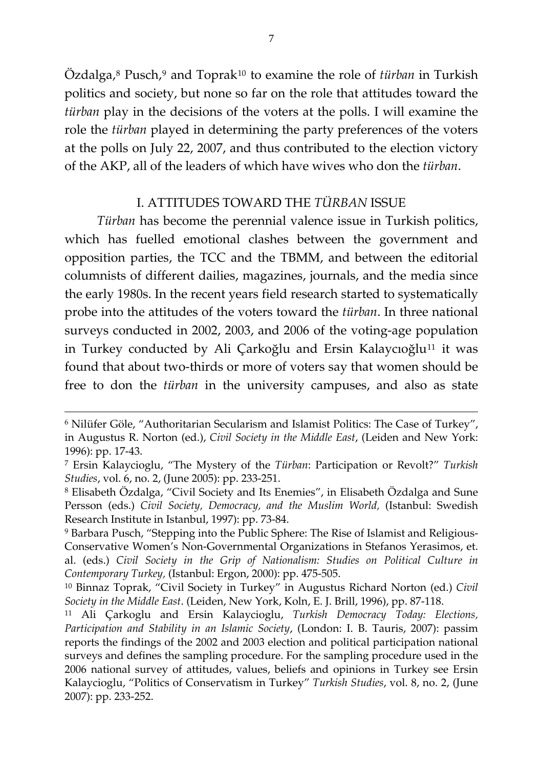Özdalga,[8](#page-6-0) Pusch,[9](#page-6-1) and Toprak[10](#page-6-2) to examine the role of *türban* in Turkish politics and society, but none so far on the role that attitudes toward the *türban* play in the decisions of the voters at the polls. I will examine the role the *türban* played in determining the party preferences of the voters at the polls on July 22, 2007, and thus contributed to the election victory of the AKP, all of the leaders of which have wives who don the *türban*.

#### I. ATTITUDES TOWARD THE *TÜRBAN* ISSUE

*Türban* has become the perennial valence issue in Turkish politics, which has fuelled emotional clashes between the government and opposition parties, the TCC and the TBMM, and between the editorial columnists of different dailies, magazines, journals, and the media since the early 1980s. In the recent years field research started to systematically probe into the attitudes of the voters toward the *türban*. In three national surveys conducted in 2002, 2003, and 2006 of the voting-age population in Turkey conducted by Ali Çarkoğlu and Ersin Kalaycıoğlu<sup>[11](#page-6-3)</sup> it was found that about two-thirds or more of voters say that women should be free to don the *türban* in the university campuses, and also as state

<sup>6</sup> Nilüfer Göle, "Authoritarian Secularism and Islamist Politics: The Case of Turkey", in Augustus R. Norton (ed.), *Civil Society in the Middle East*, (Leiden and New York: 1996): pp. 17-43.

<sup>7</sup> Ersin Kalaycioglu, "The Mystery of the *Türban*: Participation or Revolt?" *Turkish Studies*, vol. 6, no. 2, (June 2005): pp. 233-251.

<span id="page-6-0"></span><sup>8</sup> Elisabeth Özdalga, "Civil Society and Its Enemies", in Elisabeth Özdalga and Sune Persson (eds.) *Civil Society, Democracy, and the Muslim World,* (Istanbul: Swedish Research Institute in Istanbul, 1997): pp. 73-84.

<span id="page-6-1"></span><sup>9</sup> Barbara Pusch, "Stepping into the Public Sphere: The Rise of Islamist and Religious-Conservative Women's Non-Governmental Organizations in Stefanos Yerasimos, et. al. (eds.) *Civil Society in the Grip of Nationalism: Studies on Political Culture in Contemporary Turkey,* (Istanbul: Ergon, 2000): pp. 475-505.

<span id="page-6-2"></span><sup>10</sup> Binnaz Toprak, "Civil Society in Turkey" in Augustus Richard Norton (ed.) *Civil Society in the Middle East*. (Leiden, New York, Koln, E. J. Brill, 1996), pp. 87-118.

<span id="page-6-3"></span><sup>11</sup> Ali Çarkoglu and Ersin Kalaycioglu, *Turkish Democracy Today: Elections, Participation and Stability in an Islamic Society*, (London: I. B. Tauris, 2007): passim reports the findings of the 2002 and 2003 election and political participation national surveys and defines the sampling procedure. For the sampling procedure used in the 2006 national survey of attitudes, values, beliefs and opinions in Turkey see Ersin Kalaycioglu, "Politics of Conservatism in Turkey" *Turkish Studies*, vol. 8, no. 2, (June 2007): pp. 233-252.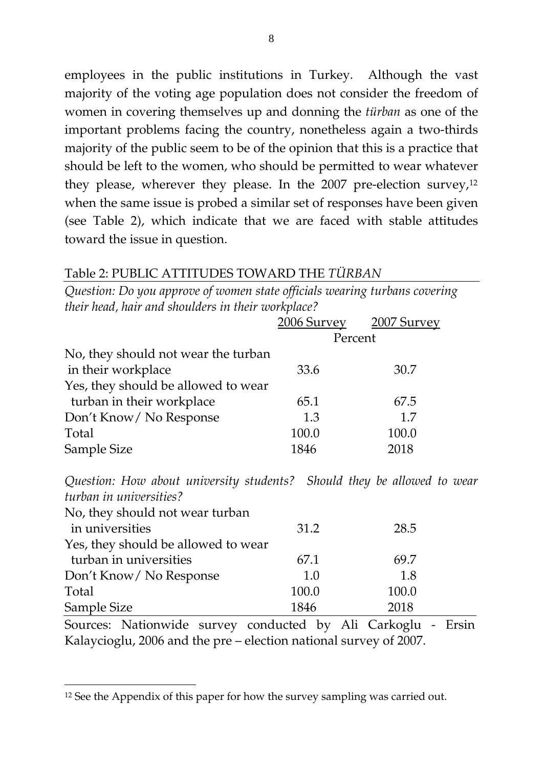employees in the public institutions in Turkey. Although the vast majority of the voting age population does not consider the freedom of women in covering themselves up and donning the *türban* as one of the important problems facing the country, nonetheless again a two-thirds majority of the public seem to be of the opinion that this is a practice that should be left to the women, who should be permitted to wear whatever they please, wherever they please. In the 2007 pre-election survey, $12$ when the same issue is probed a similar set of responses have been given (see Table 2), which indicate that we are faced with stable attitudes toward the issue in question.

## Table 2: PUBLIC ATTITUDES TOWARD THE *TÜRBAN*

*Question: Do you approve of women state officials wearing turbans covering their head, hair and shoulders in their workplace?*

|                                     |         | 2006 Survey 2007 Survey |
|-------------------------------------|---------|-------------------------|
|                                     | Percent |                         |
| No, they should not wear the turban |         |                         |
| in their workplace                  | 33.6    | 30.7                    |
| Yes, they should be allowed to wear |         |                         |
| turban in their workplace           | 65.1    | 67.5                    |
| Don't Know/ No Response             | 1.3     | 1.7                     |
| Total                               | 100.0   | 100.0                   |
| Sample Size                         | 1846    | 2018                    |

*Question: How about university students? Should they be allowed to wear turban in universities?*

| No, they should not wear turban     |       |       |  |
|-------------------------------------|-------|-------|--|
| in universities                     | 31.2  | 28.5  |  |
| Yes, they should be allowed to wear |       |       |  |
| turban in universities              | 67.1  | 69.7  |  |
| Don't Know/ No Response             | 1.0   | 1.8   |  |
| Total                               | 100.0 | 100.0 |  |
| Sample Size                         | 1846  | 2018  |  |

Sources: Nationwide survey conducted by Ali Carkoglu - Ersin Kalaycioglu, 2006 and the pre – election national survey of 2007.

<span id="page-7-0"></span><sup>&</sup>lt;sup>12</sup> See the Appendix of this paper for how the survey sampling was carried out.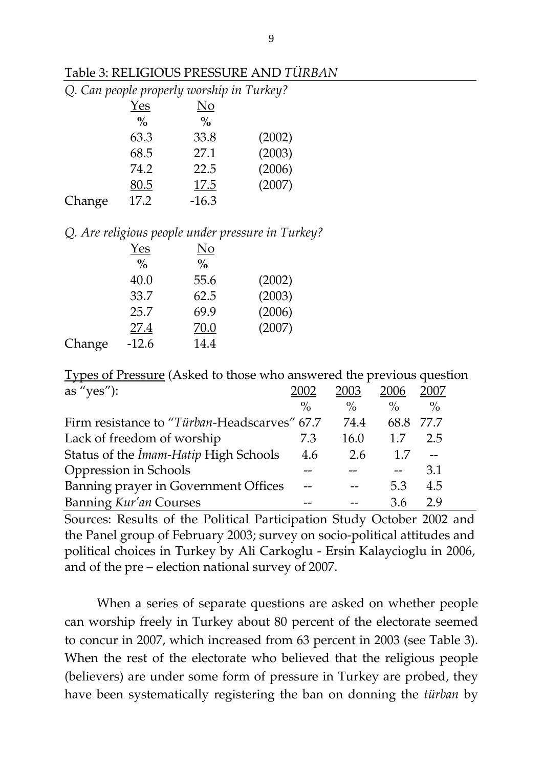| Table 3: RELIGIOUS PRESSURE AND TÜRBAN |
|----------------------------------------|
|----------------------------------------|

|        |               | Q. Can people properly worship in Turkey? |        |
|--------|---------------|-------------------------------------------|--------|
|        | Yes           | No                                        |        |
|        | $\frac{0}{0}$ | $\%$                                      |        |
|        | 63.3          | 33.8                                      | (2002) |
|        | 68.5          | 27.1                                      | (2003) |
|        | 74.2          | 22.5                                      | (2006) |
|        | 80.5          | 17.5                                      | (2007) |
|        | 17.2          | $-16.3$                                   |        |
| Change |               |                                           |        |

#### *Q. Are religious people under pressure in Turkey?*

| Yes           | No            |        |
|---------------|---------------|--------|
| $\frac{0}{0}$ | $\frac{0}{0}$ |        |
| 40.0          | 55.6          | (2002) |
| 33.7          | 62.5          | (2003) |
| 25.7          | 69.9          | (2006) |
| 27.4          | 70.0          | (2007) |
| $-12.6$       | 14.4          |        |
|               |               |        |

Types of Pressure (Asked to those who answered the previous question

| as "yes"):                                   | 2002          | 2003          | 2006          | 2007          |  |
|----------------------------------------------|---------------|---------------|---------------|---------------|--|
|                                              | $\frac{0}{0}$ | $\frac{0}{0}$ | $\frac{0}{0}$ | $\frac{0}{0}$ |  |
| Firm resistance to "Türban-Headscarves" 67.7 |               | 74.4          | 68.8          | 77.7          |  |
| Lack of freedom of worship                   | 7.3           | 16.0          | 1.7           | 2.5           |  |
| Status of the <i>İmam-Hatip</i> High Schools | 4.6           | 2.6           | 1.7           |               |  |
| Oppression in Schools                        |               |               |               | 3.1           |  |
| Banning prayer in Government Offices         |               |               | 5.3           | 4.5           |  |
| Banning Kur'an Courses                       |               |               | 36            | 29            |  |

Sources: Results of the Political Participation Study October 2002 and the Panel group of February 2003; survey on socio-political attitudes and political choices in Turkey by Ali Carkoglu - Ersin Kalaycioglu in 2006, and of the pre – election national survey of 2007.

When a series of separate questions are asked on whether people can worship freely in Turkey about 80 percent of the electorate seemed to concur in 2007, which increased from 63 percent in 2003 (see Table 3). When the rest of the electorate who believed that the religious people (believers) are under some form of pressure in Turkey are probed, they have been systematically registering the ban on donning the *türban* by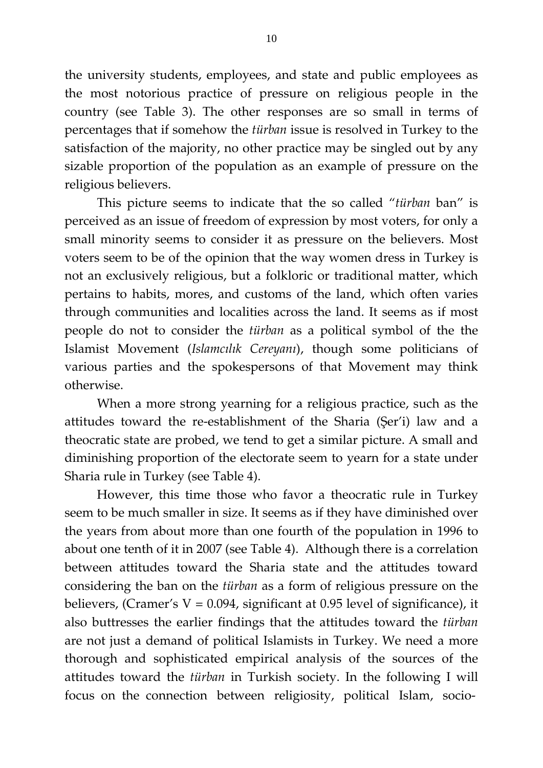the university students, employees, and state and public employees as the most notorious practice of pressure on religious people in the country (see Table 3). The other responses are so small in terms of percentages that if somehow the *türban* issue is resolved in Turkey to the satisfaction of the majority, no other practice may be singled out by any sizable proportion of the population as an example of pressure on the religious believers.

 This picture seems to indicate that the so called "*türban* ban" is perceived as an issue of freedom of expression by most voters, for only a small minority seems to consider it as pressure on the believers. Most voters seem to be of the opinion that the way women dress in Turkey is not an exclusively religious, but a folkloric or traditional matter, which pertains to habits, mores, and customs of the land, which often varies through communities and localities across the land. It seems as if most people do not to consider the *türban* as a political symbol of the the Islamist Movement (*Islamcılık Cereyanı*), though some politicians of various parties and the spokespersons of that Movement may think otherwise.

 When a more strong yearning for a religious practice, such as the attitudes toward the re-establishment of the Sharia (Şer'i) law and a theocratic state are probed, we tend to get a similar picture. A small and diminishing proportion of the electorate seem to yearn for a state under Sharia rule in Turkey (see Table 4).

However, this time those who favor a theocratic rule in Turkey seem to be much smaller in size. It seems as if they have diminished over the years from about more than one fourth of the population in 1996 to about one tenth of it in 2007 (see Table 4). Although there is a correlation between attitudes toward the Sharia state and the attitudes toward considering the ban on the *türban* as a form of religious pressure on the believers, (Cramer's  $V = 0.094$ , significant at 0.95 level of significance), it also buttresses the earlier findings that the attitudes toward the *türban* are not just a demand of political Islamists in Turkey. We need a more thorough and sophisticated empirical analysis of the sources of the attitudes toward the *türban* in Turkish society. In the following I will focus on the connection between religiosity, political Islam, socio-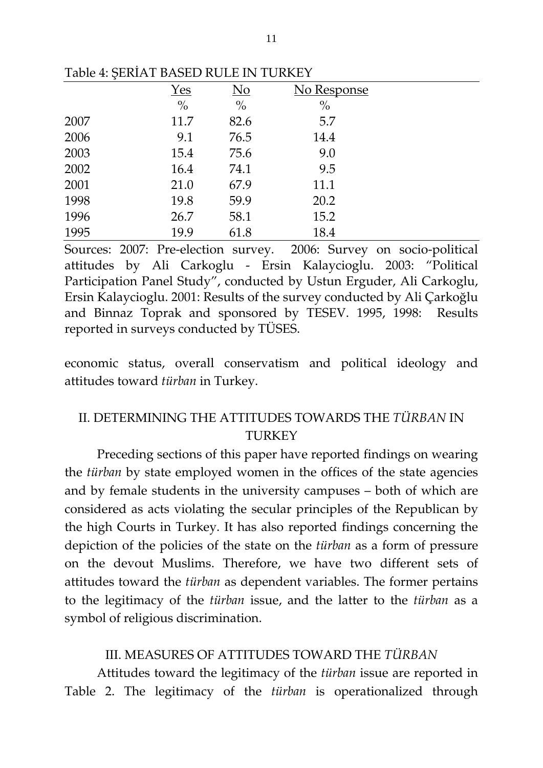|      | $Yes$         | $\underline{\mathrm{No}}$ | No Response   |
|------|---------------|---------------------------|---------------|
|      | $\frac{0}{0}$ | $\frac{0}{0}$             | $\frac{0}{0}$ |
| 2007 | 11.7          | 82.6                      | 5.7           |
| 2006 | 9.1           | 76.5                      | 14.4          |
| 2003 | 15.4          | 75.6                      | 9.0           |
| 2002 | 16.4          | 74.1                      | 9.5           |
| 2001 | 21.0          | 67.9                      | 11.1          |
| 1998 | 19.8          | 59.9                      | 20.2          |
| 1996 | 26.7          | 58.1                      | 15.2          |
| 1995 | 19.9          | 61.8                      | 18.4          |

Table 4: ŞERİAT BASED RULE IN TURKEY

Sources: 2007: Pre-election survey. 2006: Survey on socio-political attitudes by Ali Carkoglu - Ersin Kalaycioglu. 2003: "Political Participation Panel Study", conducted by Ustun Erguder, Ali Carkoglu, Ersin Kalaycioglu. 2001: Results of the survey conducted by Ali Çarkoğlu and Binnaz Toprak and sponsored by TESEV. 1995, 1998: Results reported in surveys conducted by TÜSES.

economic status, overall conservatism and political ideology and attitudes toward *türban* in Turkey.

## II. DETERMINING THE ATTITUDES TOWARDS THE *TÜRBAN* IN **TURKEY**

 Preceding sections of this paper have reported findings on wearing the *türban* by state employed women in the offices of the state agencies and by female students in the university campuses – both of which are considered as acts violating the secular principles of the Republican by the high Courts in Turkey. It has also reported findings concerning the depiction of the policies of the state on the *türban* as a form of pressure on the devout Muslims. Therefore, we have two different sets of attitudes toward the *türban* as dependent variables. The former pertains to the legitimacy of the *türban* issue, and the latter to the *türban* as a symbol of religious discrimination.

#### III. MEASURES OF ATTITUDES TOWARD THE *TÜRBAN*

Attitudes toward the legitimacy of the *türban* issue are reported in Table 2. The legitimacy of the *türban* is operationalized through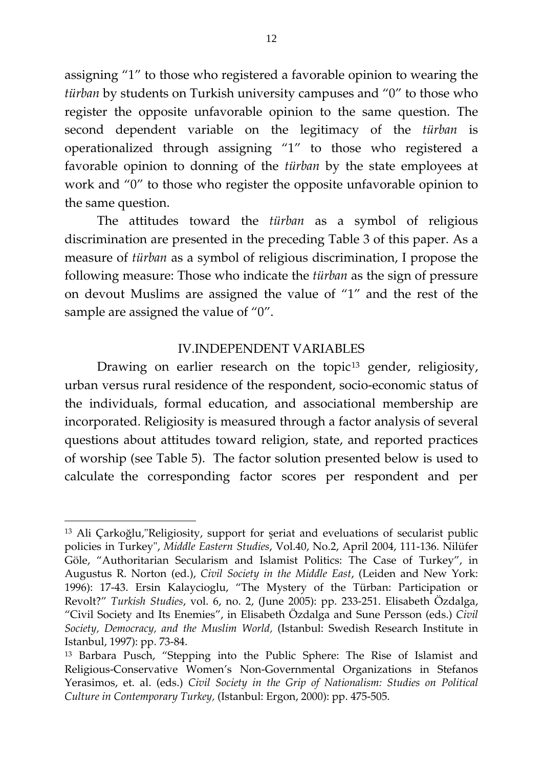assigning "1" to those who registered a favorable opinion to wearing the *türban* by students on Turkish university campuses and "0" to those who register the opposite unfavorable opinion to the same question. The second dependent variable on the legitimacy of the *türban* is operationalized through assigning "1" to those who registered a favorable opinion to donning of the *türban* by the state employees at work and "0" to those who register the opposite unfavorable opinion to the same question.

 The attitudes toward the *türban* as a symbol of religious discrimination are presented in the preceding Table 3 of this paper. As a measure of *türban* as a symbol of religious discrimination, I propose the following measure: Those who indicate the *türban* as the sign of pressure on devout Muslims are assigned the value of "1" and the rest of the sample are assigned the value of "0".

### IV.INDEPENDENT VARIABLES

Drawing on earlier research on the topic<sup>[13](#page-11-0)</sup> gender, religiosity, urban versus rural residence of the respondent, socio-economic status of the individuals, formal education, and associational membership are incorporated. Religiosity is measured through a factor analysis of several questions about attitudes toward religion, state, and reported practices of worship (see Table 5). The factor solution presented below is used to calculate the corresponding factor scores per respondent and per

<span id="page-11-0"></span><sup>13</sup> Ali Çarkoğlu,"Religiosity, support for şeriat and eveluations of secularist public policies in Turkey", *Middle Eastern Studies*, Vol.40, No.2, April 2004, 111-136. Nilüfer Göle, "Authoritarian Secularism and Islamist Politics: The Case of Turkey", in Augustus R. Norton (ed.), *Civil Society in the Middle East*, (Leiden and New York: 1996): 17-43. Ersin Kalaycioglu, "The Mystery of the Türban: Participation or Revolt?" *Turkish Studies*, vol. 6, no. 2, (June 2005): pp. 233-251. Elisabeth Özdalga, "Civil Society and Its Enemies", in Elisabeth Özdalga and Sune Persson (eds.) *Civil Society, Democracy, and the Muslim World,* (Istanbul: Swedish Research Institute in Istanbul, 1997): pp. 73-84.

<sup>13</sup> Barbara Pusch, "Stepping into the Public Sphere: The Rise of Islamist and Religious-Conservative Women's Non-Governmental Organizations in Stefanos Yerasimos, et. al. (eds.) *Civil Society in the Grip of Nationalism: Studies on Political Culture in Contemporary Turkey,* (Istanbul: Ergon, 2000): pp. 475-505.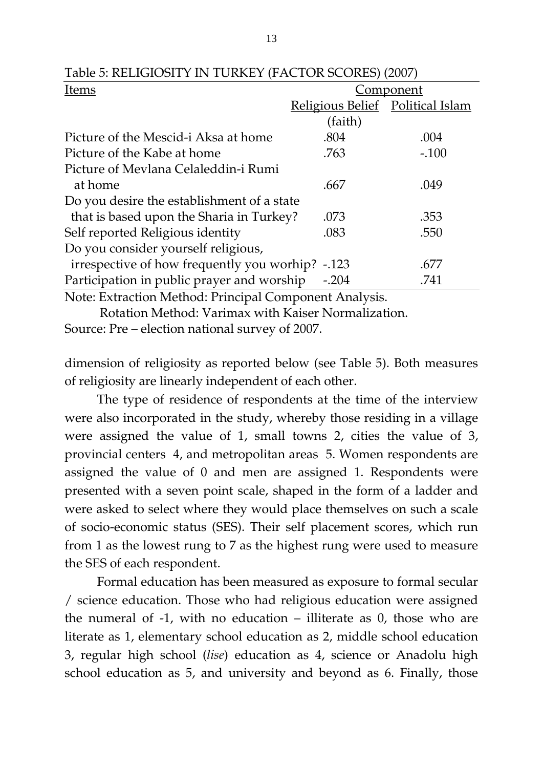| Items                                      | Component                        |         |  |
|--------------------------------------------|----------------------------------|---------|--|
|                                            | Religious Belief Political Islam |         |  |
|                                            | (faith)                          |         |  |
| Picture of the Mescid-i Aksa at home       | .804                             | .004    |  |
| Picture of the Kabe at home                | .763                             | $-.100$ |  |
| Picture of Mevlana Celaleddin-i Rumi       |                                  |         |  |
| at home                                    | .667                             | .049    |  |
| Do you desire the establishment of a state |                                  |         |  |
| that is based upon the Sharia in Turkey?   | .073                             | .353    |  |
| Self reported Religious identity           | .083                             | .550    |  |
| Do you consider yourself religious,        |                                  |         |  |
| irrespective of how frequently you worhip? | $-123$                           | .677    |  |
| Participation in public prayer and worship | $-.204$                          | .741    |  |
|                                            |                                  |         |  |

Table 5: RELIGIOSITY IN TURKEY (FACTOR SCORES) (2007)

Note: Extraction Method: Principal Component Analysis.

 Rotation Method: Varimax with Kaiser Normalization. Source: Pre – election national survey of 2007.

dimension of religiosity as reported below (see Table 5). Both measures of religiosity are linearly independent of each other.

 The type of residence of respondents at the time of the interview were also incorporated in the study, whereby those residing in a village were assigned the value of 1, small towns 2, cities the value of 3, provincial centers 4, and metropolitan areas 5. Women respondents are assigned the value of 0 and men are assigned 1. Respondents were presented with a seven point scale, shaped in the form of a ladder and were asked to select where they would place themselves on such a scale of socio-economic status (SES). Their self placement scores, which run from 1 as the lowest rung to 7 as the highest rung were used to measure the SES of each respondent.

 Formal education has been measured as exposure to formal secular / science education. Those who had religious education were assigned the numeral of -1, with no education – illiterate as 0, those who are literate as 1, elementary school education as 2, middle school education 3, regular high school (*lise*) education as 4, science or Anadolu high school education as 5, and university and beyond as 6. Finally, those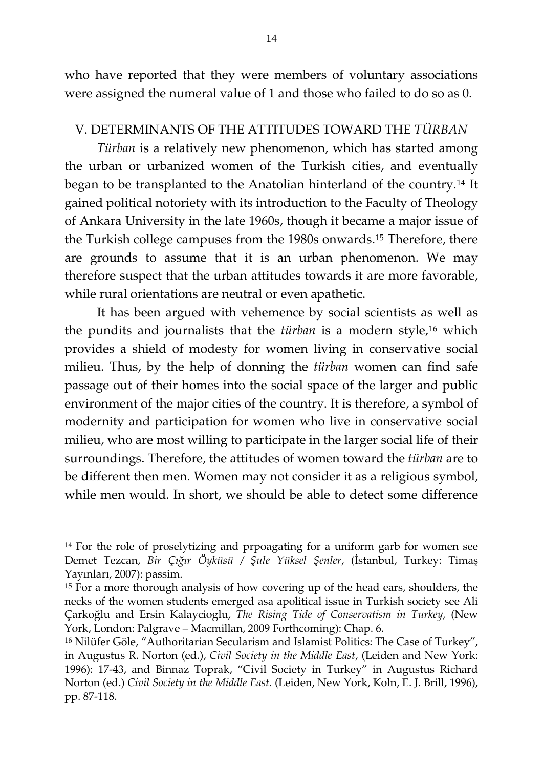who have reported that they were members of voluntary associations were assigned the numeral value of 1 and those who failed to do so as 0.

## V. DETERMINANTS OF THE ATTITUDES TOWARD THE *TÜRBAN*

*Türban* is a relatively new phenomenon, which has started among the urban or urbanized women of the Turkish cities, and eventually began to be transplanted to the Anatolian hinterland of the country.[14](#page-13-0) It gained political notoriety with its introduction to the Faculty of Theology of Ankara University in the late 1960s, though it became a major issue of the Turkish college campuses from the 1980s onwards.[15](#page-13-1) Therefore, there are grounds to assume that it is an urban phenomenon. We may therefore suspect that the urban attitudes towards it are more favorable, while rural orientations are neutral or even apathetic.

 It has been argued with vehemence by social scientists as well as the pundits and journalists that the *türban* is a modern style,<sup>[16](#page-13-2)</sup> which provides a shield of modesty for women living in conservative social milieu. Thus, by the help of donning the *türban* women can find safe passage out of their homes into the social space of the larger and public environment of the major cities of the country. It is therefore, a symbol of modernity and participation for women who live in conservative social milieu, who are most willing to participate in the larger social life of their surroundings. Therefore, the attitudes of women toward the *türban* are to be different then men. Women may not consider it as a religious symbol, while men would. In short, we should be able to detect some difference

<span id="page-13-0"></span><sup>&</sup>lt;sup>14</sup> For the role of proselytizing and prpoagating for a uniform garb for women see Demet Tezcan, *Bir Çığır Öyküsü / Şule Yüksel Şenler*, (İstanbul, Turkey: Timaş Yayınları, 2007): passim.

<span id="page-13-1"></span><sup>&</sup>lt;sup>15</sup> For a more thorough analysis of how covering up of the head ears, shoulders, the necks of the women students emerged asa apolitical issue in Turkish society see Ali Çarkoğlu and Ersin Kalaycioglu, *The Rising Tide of Conservatism in Turkey,* (New York, London: Palgrave – Macmillan, 2009 Forthcoming): Chap. 6.

<span id="page-13-2"></span><sup>16</sup> Nilüfer Göle, "Authoritarian Secularism and Islamist Politics: The Case of Turkey", in Augustus R. Norton (ed.), *Civil Society in the Middle East*, (Leiden and New York: 1996): 17-43, and Binnaz Toprak, "Civil Society in Turkey" in Augustus Richard Norton (ed.) *Civil Society in the Middle East*. (Leiden, New York, Koln, E. J. Brill, 1996), pp. 87-118.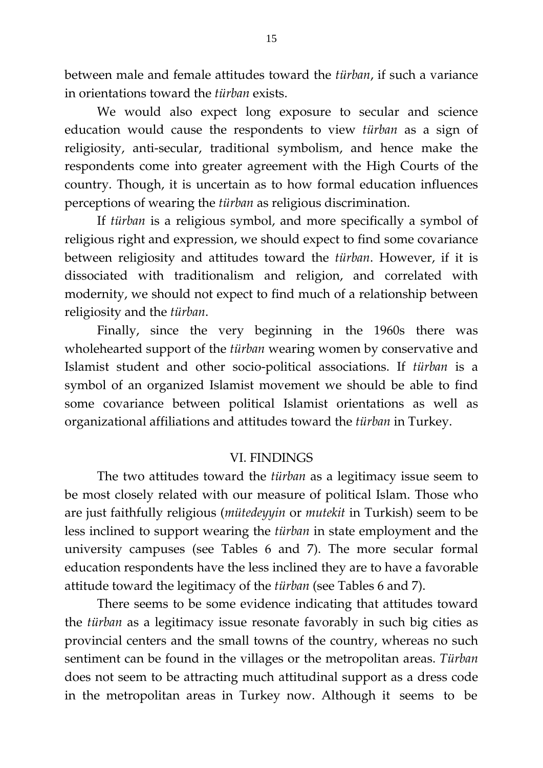between male and female attitudes toward the *türban*, if such a variance in orientations toward the *türban* exists.

 We would also expect long exposure to secular and science education would cause the respondents to view *türban* as a sign of religiosity, anti-secular, traditional symbolism, and hence make the respondents come into greater agreement with the High Courts of the country. Though, it is uncertain as to how formal education influences perceptions of wearing the *türban* as religious discrimination.

 If *türban* is a religious symbol, and more specifically a symbol of religious right and expression, we should expect to find some covariance between religiosity and attitudes toward the *türban*. However, if it is dissociated with traditionalism and religion, and correlated with modernity, we should not expect to find much of a relationship between religiosity and the *türban*.

 Finally, since the very beginning in the 1960s there was wholehearted support of the *türban* wearing women by conservative and Islamist student and other socio-political associations. If *türban* is a symbol of an organized Islamist movement we should be able to find some covariance between political Islamist orientations as well as organizational affiliations and attitudes toward the *türban* in Turkey.

## VI. FINDINGS

 The two attitudes toward the *türban* as a legitimacy issue seem to be most closely related with our measure of political Islam. Those who are just faithfully religious (*mütedeyyin* or *mutekit* in Turkish) seem to be less inclined to support wearing the *türban* in state employment and the university campuses (see Tables 6 and 7). The more secular formal education respondents have the less inclined they are to have a favorable attitude toward the legitimacy of the *türban* (see Tables 6 and 7).

 There seems to be some evidence indicating that attitudes toward the *türban* as a legitimacy issue resonate favorably in such big cities as provincial centers and the small towns of the country, whereas no such sentiment can be found in the villages or the metropolitan areas. *Türban* does not seem to be attracting much attitudinal support as a dress code in the metropolitan areas in Turkey now. Although it seems to be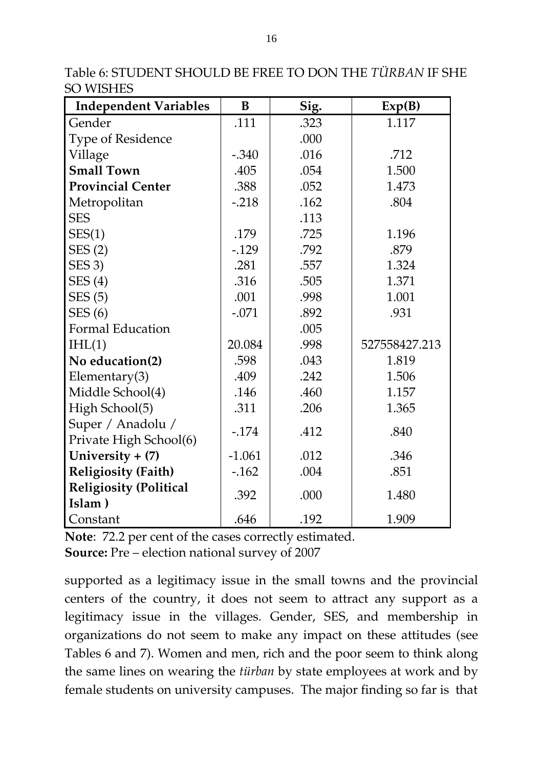Table 6: STUDENT SHOULD BE FREE TO DON THE *TÜRBAN* IF SHE SO WISHES

| <b>Independent Variables</b>            | B        | Sig. | Exp(B)        |
|-----------------------------------------|----------|------|---------------|
| Gender                                  | .111     | .323 | 1.117         |
| <b>Type of Residence</b>                |          | .000 |               |
| Village                                 | $-.340$  | .016 | .712          |
| <b>Small Town</b>                       | .405     | .054 | 1.500         |
| <b>Provincial Center</b>                | .388     | .052 | 1.473         |
| Metropolitan                            | $-218$   | .162 | .804          |
| <b>SES</b>                              |          | .113 |               |
| SES(1)                                  | .179     | .725 | 1.196         |
| SES(2)                                  | $-0.129$ | .792 | .879          |
| SES <sub>3</sub> )                      | .281     | .557 | 1.324         |
| SES(4)                                  | .316     | .505 | 1.371         |
| SES(5)                                  | .001     | .998 | 1.001         |
| SES(6)                                  | $-.071$  | .892 | .931          |
| <b>Formal Education</b>                 |          | .005 |               |
| IHL(1)                                  | 20.084   | .998 | 527558427.213 |
| No education(2)                         | .598     | .043 | 1.819         |
| Elementary $(3)$                        | .409     | .242 | 1.506         |
| Middle School(4)                        | .146     | .460 | 1.157         |
| High School(5)                          | .311     | .206 | 1.365         |
| Super / Anadolu /                       | $-.174$  | .412 | .840          |
| Private High School(6)                  |          |      |               |
| University $+$ (7)                      | $-1.061$ | .012 | .346          |
| <b>Religiosity (Faith)</b>              | $-162$   | .004 | .851          |
| <b>Religiosity (Political</b><br>Islam) | .392     | .000 | 1.480         |
| Constant                                | .646     | .192 | 1.909         |

**Note**: 72.2 per cent of the cases correctly estimated. **Source:** Pre – election national survey of 2007

supported as a legitimacy issue in the small towns and the provincial centers of the country, it does not seem to attract any support as a legitimacy issue in the villages. Gender, SES, and membership in organizations do not seem to make any impact on these attitudes (see Tables 6 and 7). Women and men, rich and the poor seem to think along the same lines on wearing the *türban* by state employees at work and by female students on university campuses. The major finding so far is that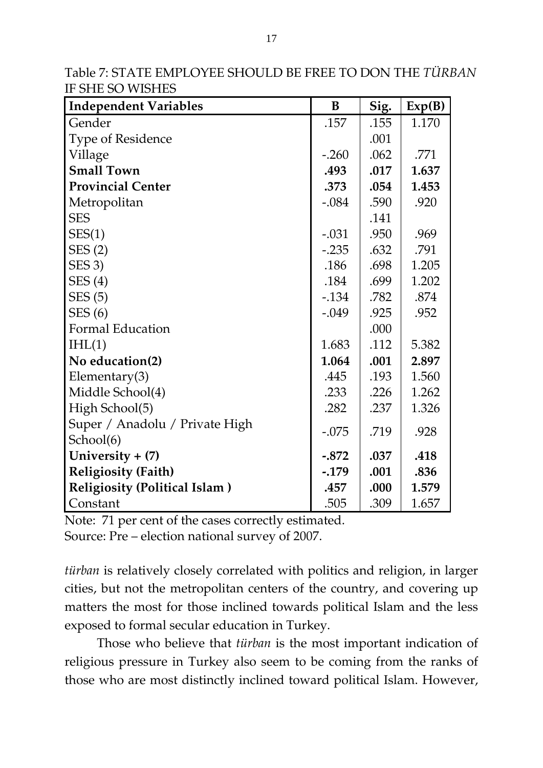| <b>Independent Variables</b>         | B        | Sig. | Exp(B) |
|--------------------------------------|----------|------|--------|
| Gender                               | .157     | .155 | 1.170  |
| Type of Residence                    |          | .001 |        |
| Village                              | $-.260$  | .062 | .771   |
| <b>Small Town</b>                    | .493     | .017 | 1.637  |
| <b>Provincial Center</b>             | .373     | .054 | 1.453  |
| Metropolitan                         | $-.084$  | .590 | .920   |
| <b>SES</b>                           |          | .141 |        |
| SES(1)                               | $-.031$  | .950 | .969   |
| SES(2)                               | $-.235$  | .632 | .791   |
| SES <sub>3</sub> )                   | .186     | .698 | 1.205  |
| SES(4)                               | .184     | .699 | 1.202  |
| SES(5)                               | $-134$   | .782 | .874   |
| SES(6)                               | $-.049$  | .925 | .952   |
| Formal Education                     |          | .000 |        |
| IHL(1)                               | 1.683    | .112 | 5.382  |
| No education(2)                      | 1.064    | .001 | 2.897  |
| Elementary $(3)$                     | .445     | .193 | 1.560  |
| Middle School(4)                     | .233     | .226 | 1.262  |
| High School(5)                       | .282     | .237 | 1.326  |
| Super / Anadolu / Private High       |          |      |        |
| School(6)                            | $-.075$  | .719 | .928   |
| University + (7)                     | $-.872$  | .037 | .418   |
| <b>Religiosity (Faith)</b>           | $-0.179$ | .001 | .836   |
| <b>Religiosity (Political Islam)</b> | .457     | .000 | 1.579  |
| Constant                             | .505     | .309 | 1.657  |

Table 7: STATE EMPLOYEE SHOULD BE FREE TO DON THE *TÜRBAN* IF SHE SO WISHES

Note: 71 per cent of the cases correctly estimated.

Source: Pre – election national survey of 2007.

*türban* is relatively closely correlated with politics and religion, in larger cities, but not the metropolitan centers of the country, and covering up matters the most for those inclined towards political Islam and the less exposed to formal secular education in Turkey.

Those who believe that *türban* is the most important indication of religious pressure in Turkey also seem to be coming from the ranks of those who are most distinctly inclined toward political Islam. However,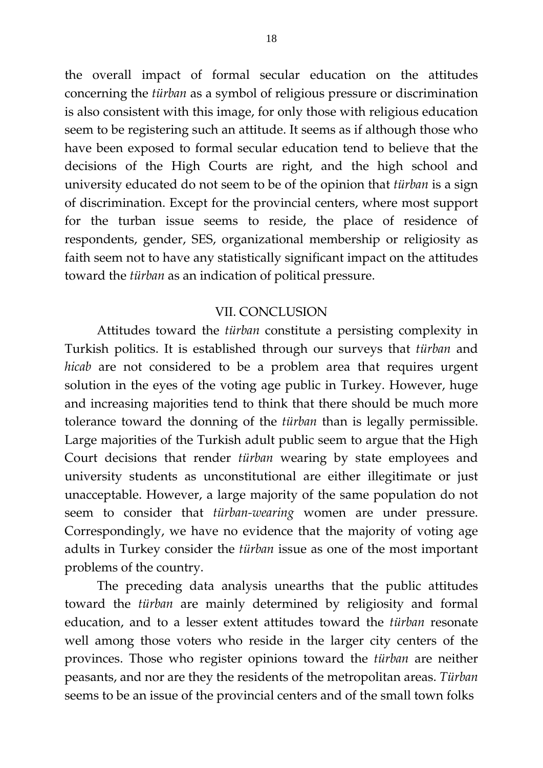the overall impact of formal secular education on the attitudes concerning the *türban* as a symbol of religious pressure or discrimination is also consistent with this image, for only those with religious education seem to be registering such an attitude. It seems as if although those who have been exposed to formal secular education tend to believe that the decisions of the High Courts are right, and the high school and university educated do not seem to be of the opinion that *türban* is a sign of discrimination. Except for the provincial centers, where most support for the turban issue seems to reside, the place of residence of respondents, gender, SES, organizational membership or religiosity as faith seem not to have any statistically significant impact on the attitudes toward the *türban* as an indication of political pressure.

### VII. CONCLUSION

 Attitudes toward the *türban* constitute a persisting complexity in Turkish politics. It is established through our surveys that *türban* and *hicab* are not considered to be a problem area that requires urgent solution in the eyes of the voting age public in Turkey. However, huge and increasing majorities tend to think that there should be much more tolerance toward the donning of the *türban* than is legally permissible. Large majorities of the Turkish adult public seem to argue that the High Court decisions that render *türban* wearing by state employees and university students as unconstitutional are either illegitimate or just unacceptable. However, a large majority of the same population do not seem to consider that *türban-wearing* women are under pressure. Correspondingly, we have no evidence that the majority of voting age adults in Turkey consider the *türban* issue as one of the most important problems of the country.

 The preceding data analysis unearths that the public attitudes toward the *türban* are mainly determined by religiosity and formal education, and to a lesser extent attitudes toward the *türban* resonate well among those voters who reside in the larger city centers of the provinces. Those who register opinions toward the *türban* are neither peasants, and nor are they the residents of the metropolitan areas. *Türban* seems to be an issue of the provincial centers and of the small town folks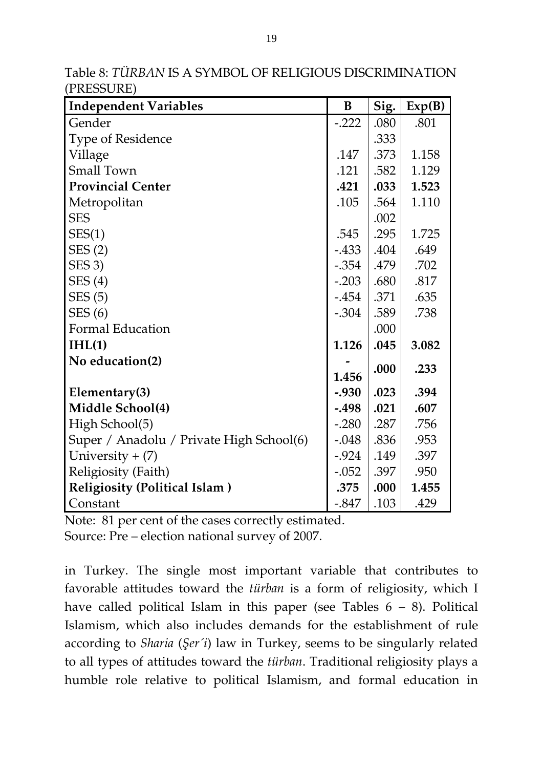| <b>Independent Variables</b>             | B        | Sig. | Exp(B) |
|------------------------------------------|----------|------|--------|
| Gender                                   | $-.222$  | .080 | .801   |
| <b>Type of Residence</b>                 |          | .333 |        |
| Village                                  | .147     | .373 | 1.158  |
| Small Town                               | .121     | .582 | 1.129  |
| <b>Provincial Center</b>                 | .421     | .033 | 1.523  |
| Metropolitan                             | .105     | .564 | 1.110  |
| <b>SES</b>                               |          | .002 |        |
| SES(1)                                   | .545     | .295 | 1.725  |
| SES(2)                                   | $-433$   | .404 | .649   |
| SES 3)                                   | $-.354$  | .479 | .702   |
| SES(4)                                   | $-.203$  | .680 | .817   |
| SES(5)                                   | $-454$   | .371 | .635   |
| SES(6)                                   | $-.304$  | .589 | .738   |
| <b>Formal Education</b>                  |          | .000 |        |
| IHL(1)                                   | 1.126    | .045 | 3.082  |
| No education(2)                          |          | .000 | .233   |
|                                          | 1.456    |      |        |
| Elementary(3)                            | $-.930$  | .023 | .394   |
| Middle School(4)                         | $-498$   | .021 | .607   |
| High School(5)                           | $-.280$  | .287 | .756   |
| Super / Anadolu / Private High School(6) | $-.048$  | .836 | .953   |
| University $+$ (7)                       | $-924$   | .149 | .397   |
| Religiosity (Faith)                      | $-.052$  | .397 | .950   |
| <b>Religiosity (Political Islam)</b>     | .375     | .000 | 1.455  |
| Constant                                 | $-0.847$ | .103 | .429   |

Table 8: *TÜRBAN* IS A SYMBOL OF RELIGIOUS DISCRIMINATION (PRESSURE)

Note: 81 per cent of the cases correctly estimated.

Source: Pre – election national survey of 2007.

in Turkey. The single most important variable that contributes to favorable attitudes toward the *türban* is a form of religiosity, which I have called political Islam in this paper (see Tables  $6 - 8$ ). Political Islamism, which also includes demands for the establishment of rule according to *Sharia* (*Şer´i*) law in Turkey, seems to be singularly related to all types of attitudes toward the *türban*. Traditional religiosity plays a humble role relative to political Islamism, and formal education in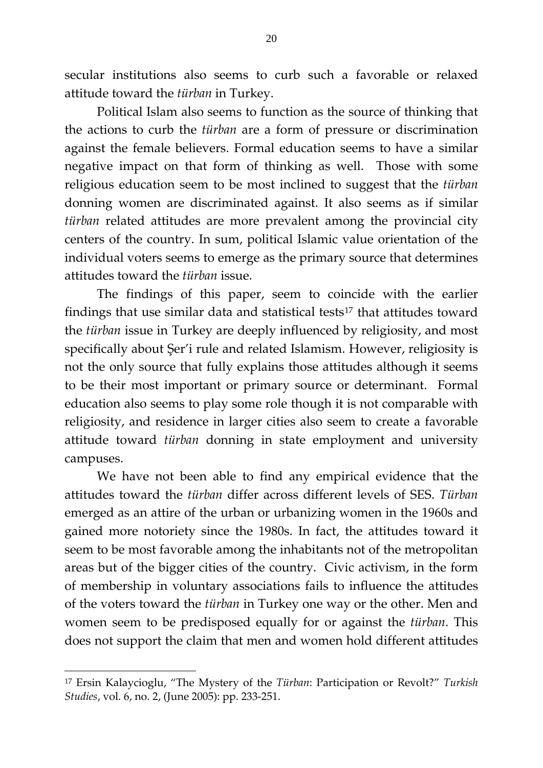secular institutions also seems to curb such a favorable or relaxed attitude toward the *türban* in Turkey.

Political Islam also seems to function as the source of thinking that the actions to curb the *türban* are a form of pressure or discrimination against the female believers. Formal education seems to have a similar negative impact on that form of thinking as well. Those with some religious education seem to be most inclined to suggest that the *türban* donning women are discriminated against. It also seems as if similar *türban* related attitudes are more prevalent among the provincial city centers of the country. In sum, political Islamic value orientation of the individual voters seems to emerge as the primary source that determines attitudes toward the *türban* issue.

The findings of this paper, seem to coincide with the earlier findings that use similar data and statistical tests<sup>[17](#page-19-0)</sup> that attitudes toward the *türban* issue in Turkey are deeply influenced by religiosity, and most specifically about Şer'i rule and related Islamism. However, religiosity is not the only source that fully explains those attitudes although it seems to be their most important or primary source or determinant. Formal education also seems to play some role though it is not comparable with religiosity, and residence in larger cities also seem to create a favorable attitude toward *türban* donning in state employment and university campuses.

We have not been able to find any empirical evidence that the attitudes toward the *türban* differ across different levels of SES. *Türban* emerged as an attire of the urban or urbanizing women in the 1960s and gained more notoriety since the 1980s. In fact, the attitudes toward it seem to be most favorable among the inhabitants not of the metropolitan areas but of the bigger cities of the country. Civic activism, in the form of membership in voluntary associations fails to influence the attitudes of the voters toward the *türban* in Turkey one way or the other. Men and women seem to be predisposed equally for or against the *türban*. This does not support the claim that men and women hold different attitudes

<span id="page-19-0"></span><sup>17</sup> Ersin Kalaycioglu, "The Mystery of the *Türban*: Participation or Revolt?" *Turkish Studies*, vol. 6, no. 2, (June 2005): pp. 233-251.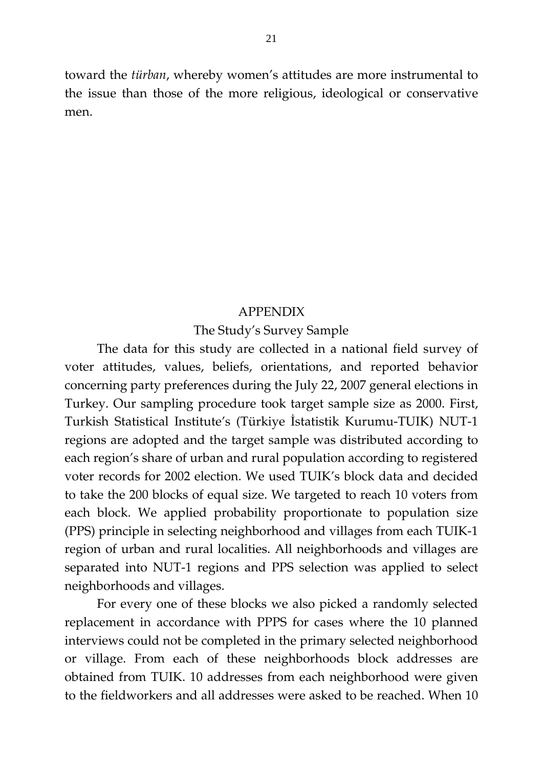toward the *türban*, whereby women's attitudes are more instrumental to the issue than those of the more religious, ideological or conservative men.

## APPENDIX

## The Study's Survey Sample

The data for this study are collected in a national field survey of voter attitudes, values, beliefs, orientations, and reported behavior concerning party preferences during the July 22, 2007 general elections in Turkey. Our sampling procedure took target sample size as 2000. First, Turkish Statistical Institute's (Türkiye İstatistik Kurumu-TUIK) NUT-1 regions are adopted and the target sample was distributed according to each region's share of urban and rural population according to registered voter records for 2002 election. We used TUIK's block data and decided to take the 200 blocks of equal size. We targeted to reach 10 voters from each block. We applied probability proportionate to population size (PPS) principle in selecting neighborhood and villages from each TUIK-1 region of urban and rural localities. All neighborhoods and villages are separated into NUT-1 regions and PPS selection was applied to select neighborhoods and villages.

For every one of these blocks we also picked a randomly selected replacement in accordance with PPPS for cases where the 10 planned interviews could not be completed in the primary selected neighborhood or village. From each of these neighborhoods block addresses are obtained from TUIK. 10 addresses from each neighborhood were given to the fieldworkers and all addresses were asked to be reached. When 10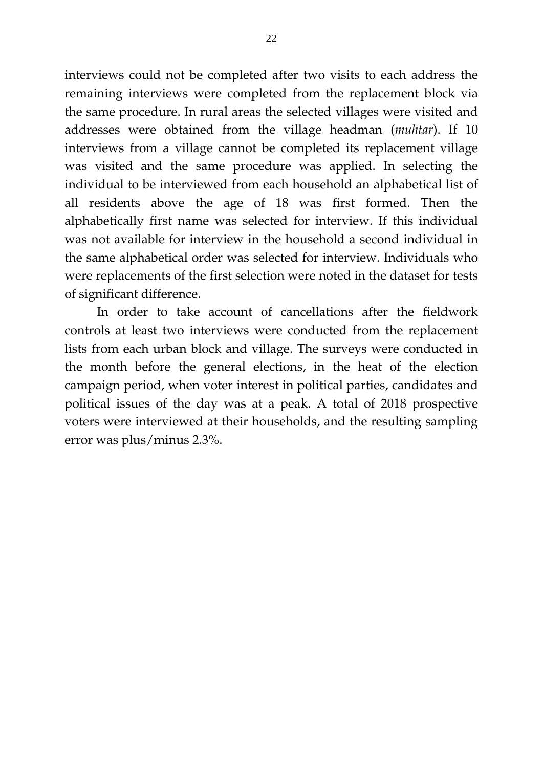interviews could not be completed after two visits to each address the remaining interviews were completed from the replacement block via the same procedure. In rural areas the selected villages were visited and addresses were obtained from the village headman (*muhtar*). If 10 interviews from a village cannot be completed its replacement village was visited and the same procedure was applied. In selecting the individual to be interviewed from each household an alphabetical list of all residents above the age of 18 was first formed. Then the alphabetically first name was selected for interview. If this individual was not available for interview in the household a second individual in the same alphabetical order was selected for interview. Individuals who were replacements of the first selection were noted in the dataset for tests of significant difference.

In order to take account of cancellations after the fieldwork controls at least two interviews were conducted from the replacement lists from each urban block and village. The surveys were conducted in the month before the general elections, in the heat of the election campaign period, when voter interest in political parties, candidates and political issues of the day was at a peak. A total of 2018 prospective voters were interviewed at their households, and the resulting sampling error was plus/minus 2.3%.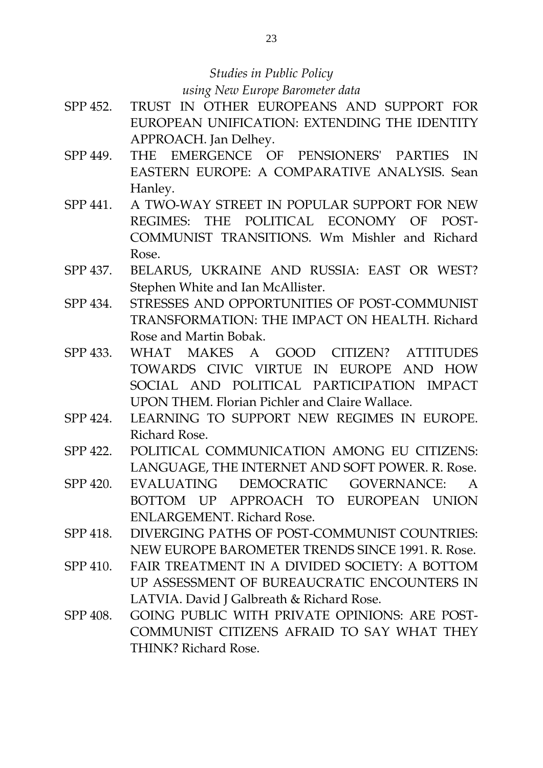## *Studies in Public Policy using New Europe Barometer data*

- SPP 452. TRUST IN OTHER EUROPEANS AND SUPPORT FOR EUROPEAN UNIFICATION: EXTENDING THE IDENTITY APPROACH. Jan Delhey.
- SPP 449. THE EMERGENCE OF PENSIONERS' PARTIES IN EASTERN EUROPE: A COMPARATIVE ANALYSIS. Sean Hanley.
- SPP 441. A TWO-WAY STREET IN POPULAR SUPPORT FOR NEW REGIMES: THE POLITICAL ECONOMY OF POST-COMMUNIST TRANSITIONS. Wm Mishler and Richard Rose.
- SPP 437. BELARUS, UKRAINE AND RUSSIA: EAST OR WEST? Stephen White and Ian McAllister.
- SPP 434. STRESSES AND OPPORTUNITIES OF POST-COMMUNIST TRANSFORMATION: THE IMPACT ON HEALTH. Richard Rose and Martin Bobak.
- SPP 433. WHAT MAKES A GOOD CITIZEN? ATTITUDES TOWARDS CIVIC VIRTUE IN EUROPE AND HOW SOCIAL AND POLITICAL PARTICIPATION IMPACT UPON THEM. Florian Pichler and Claire Wallace.
- SPP 424. LEARNING TO SUPPORT NEW REGIMES IN EUROPE. Richard Rose.
- SPP 422. POLITICAL COMMUNICATION AMONG EU CITIZENS: LANGUAGE, THE INTERNET AND SOFT POWER. R. Rose.
- SPP 420. EVALUATING DEMOCRATIC GOVERNANCE: A BOTTOM UP APPROACH TO EUROPEAN UNION ENLARGEMENT. Richard Rose.
- SPP 418. DIVERGING PATHS OF POST-COMMUNIST COUNTRIES: NEW EUROPE BAROMETER TRENDS SINCE 1991. R. Rose.
- SPP 410. FAIR TREATMENT IN A DIVIDED SOCIETY: A BOTTOM UP ASSESSMENT OF BUREAUCRATIC ENCOUNTERS IN LATVIA. David J Galbreath & Richard Rose.
- SPP 408. GOING PUBLIC WITH PRIVATE OPINIONS: ARE POST-COMMUNIST CITIZENS AFRAID TO SAY WHAT THEY THINK? Richard Rose.